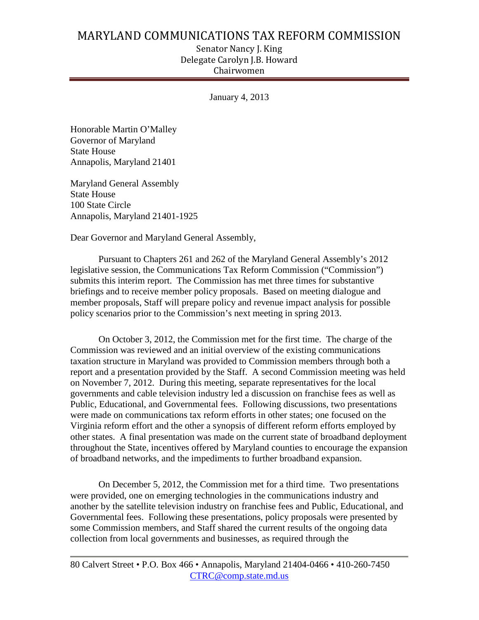## MARYLAND COMMUNICATIONS TAX REFORM COMMISSION

Senator Nancy J. King Delegate Carolyn J.B. Howard Chairwomen

January 4, 2013

Honorable Martin O'Malley Governor of Maryland State House Annapolis, Maryland 21401

Maryland General Assembly State House 100 State Circle Annapolis, Maryland 21401-1925

Dear Governor and Maryland General Assembly,

Pursuant to Chapters 261 and 262 of the Maryland General Assembly's 2012 legislative session, the Communications Tax Reform Commission ("Commission") submits this interim report. The Commission has met three times for substantive briefings and to receive member policy proposals. Based on meeting dialogue and member proposals, Staff will prepare policy and revenue impact analysis for possible policy scenarios prior to the Commission's next meeting in spring 2013.

On October 3, 2012, the Commission met for the first time. The charge of the Commission was reviewed and an initial overview of the existing communications taxation structure in Maryland was provided to Commission members through both a report and a presentation provided by the Staff. A second Commission meeting was held on November 7, 2012. During this meeting, separate representatives for the local governments and cable television industry led a discussion on franchise fees as well as Public, Educational, and Governmental fees. Following discussions, two presentations were made on communications tax reform efforts in other states; one focused on the Virginia reform effort and the other a synopsis of different reform efforts employed by other states. A final presentation was made on the current state of broadband deployment throughout the State, incentives offered by Maryland counties to encourage the expansion of broadband networks, and the impediments to further broadband expansion.

On December 5, 2012, the Commission met for a third time. Two presentations were provided, one on emerging technologies in the communications industry and another by the satellite television industry on franchise fees and Public, Educational, and Governmental fees. Following these presentations, policy proposals were presented by some Commission members, and Staff shared the current results of the ongoing data collection from local governments and businesses, as required through the